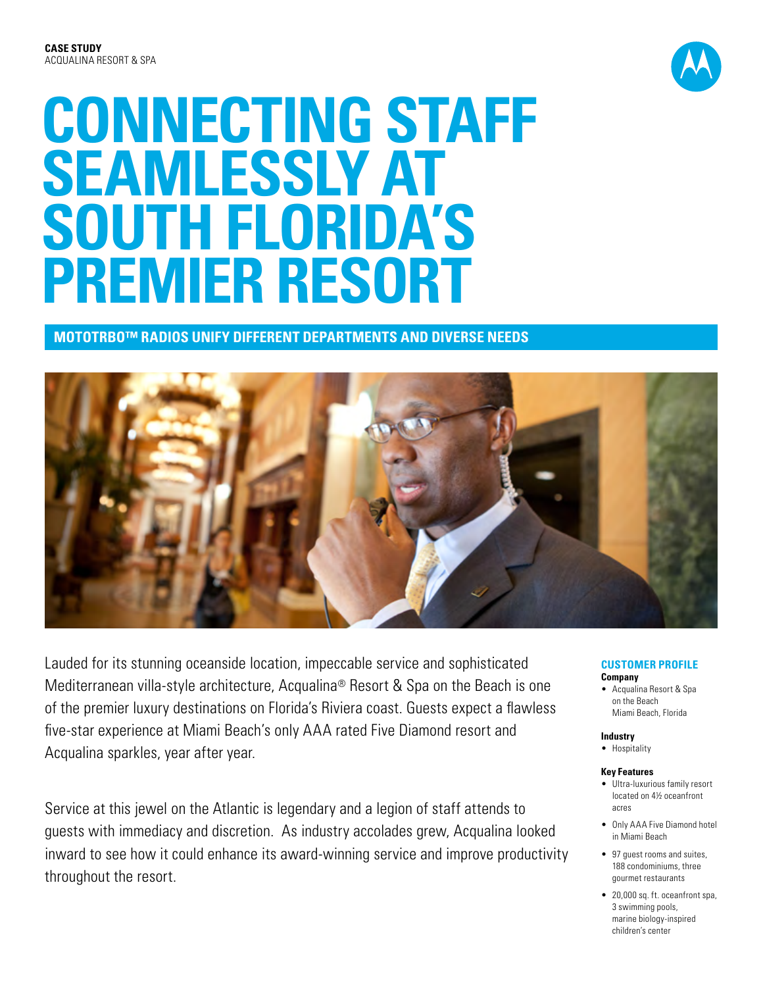

# **CONNECTING STAFF SEAMLESSLY AT SOUTH FLORIDA'S PREMIER RESORT**

**MOTOTRBO™ RADIOS UNIFY DIFFERENT DEPARTMENTS AND DIVERSE NEEDS** 



Lauded for its stunning oceanside location, impeccable service and sophisticated Mediterranean villa-style architecture, Acqualina® Resort & Spa on the Beach is one of the premier luxury destinations on Florida's Riviera coast. Guests expect a flawless five-star experience at Miami Beach's only AAA rated Five Diamond resort and Acqualina sparkles, year after year.

Service at this jewel on the Atlantic is legendary and a legion of staff attends to guests with immediacy and discretion. As industry accolades grew, Acqualina looked inward to see how it could enhance its award-winning service and improve productivity throughout the resort.

#### **CUSTOMER PROFILE Company**

• Acqualina Resort & Spa on the Beach Miami Beach, Florida

### **Industry**

• Hospitality

### **Key Features**

- • Ultra-luxurious family resort located on 4½ oceanfront acres
- • Only AAA Five Diamond hotel in Miami Beach
- 97 quest rooms and suites. 188 condominiums, three gourmet restaurants
- 20,000 sq. ft. oceanfront spa, 3 swimming pools, marine biology-inspired children's center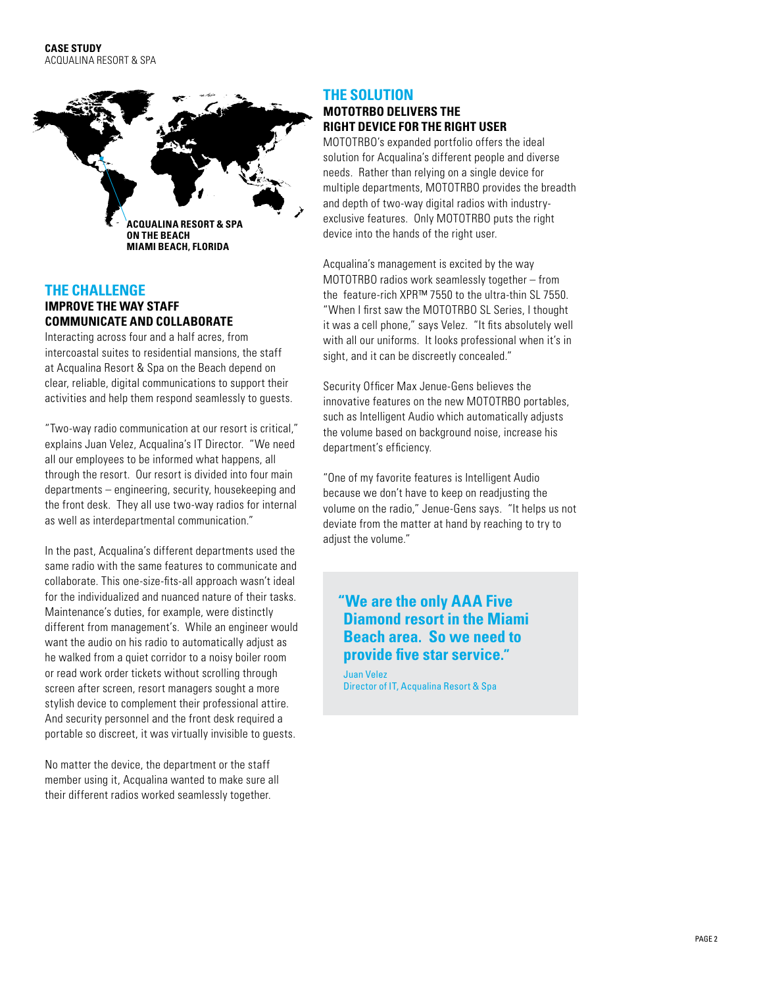

# **The Challenge**

**IMPROVE THE WAY STAFF COMMUNICATE AND COLLABORATE** 

Interacting across four and a half acres, from intercoastal suites to residential mansions, the staff at Acqualina Resort & Spa on the Beach depend on clear, reliable, digital communications to support their activities and help them respond seamlessly to guests.

"Two-way radio communication at our resort is critical," explains Juan Velez, Acqualina's IT Director. "We need all our employees to be informed what happens, all through the resort. Our resort is divided into four main departments – engineering, security, housekeeping and the front desk. They all use two-way radios for internal as well as interdepartmental communication."

In the past, Acqualina's different departments used the same radio with the same features to communicate and collaborate. This one-size-fits-all approach wasn't ideal for the individualized and nuanced nature of their tasks. Maintenance's duties, for example, were distinctly different from management's. While an engineer would want the audio on his radio to automatically adjust as he walked from a quiet corridor to a noisy boiler room or read work order tickets without scrolling through screen after screen, resort managers sought a more stylish device to complement their professional attire. And security personnel and the front desk required a portable so discreet, it was virtually invisible to guests.

No matter the device, the department or the staff member using it, Acqualina wanted to make sure all their different radios worked seamlessly together.

## **The SOLUTION MOTOTRBO DELIVERS THE RIGHT DEVICE FOR THE RIGHT USER**

MOTOTRBO's expanded portfolio offers the ideal solution for Acqualina's different people and diverse needs. Rather than relying on a single device for multiple departments, MOTOTRBO provides the breadth and depth of two-way digital radios with industryexclusive features. Only MOTOTRBO puts the right device into the hands of the right user.

Acqualina's management is excited by the way MOTOTRBO radios work seamlessly together – from the feature-rich XPR™ 7550 to the ultra-thin SL 7550. "When I first saw the MOTOTRBO SL Series, I thought it was a cell phone," says Velez. "It fits absolutely well with all our uniforms. It looks professional when it's in sight, and it can be discreetly concealed."

Security Officer Max Jenue-Gens believes the innovative features on the new MOTOTRBO portables, such as Intelligent Audio which automatically adjusts the volume based on background noise, increase his department's efficiency.

"One of my favorite features is Intelligent Audio because we don't have to keep on readjusting the volume on the radio," Jenue-Gens says. "It helps us not deviate from the matter at hand by reaching to try to adjust the volume."

# **"We are the only AAA Five Diamond resort in the Miami Beach area. So we need to provide five star service."**

Juan Velez Director of IT, Acqualina Resort & Spa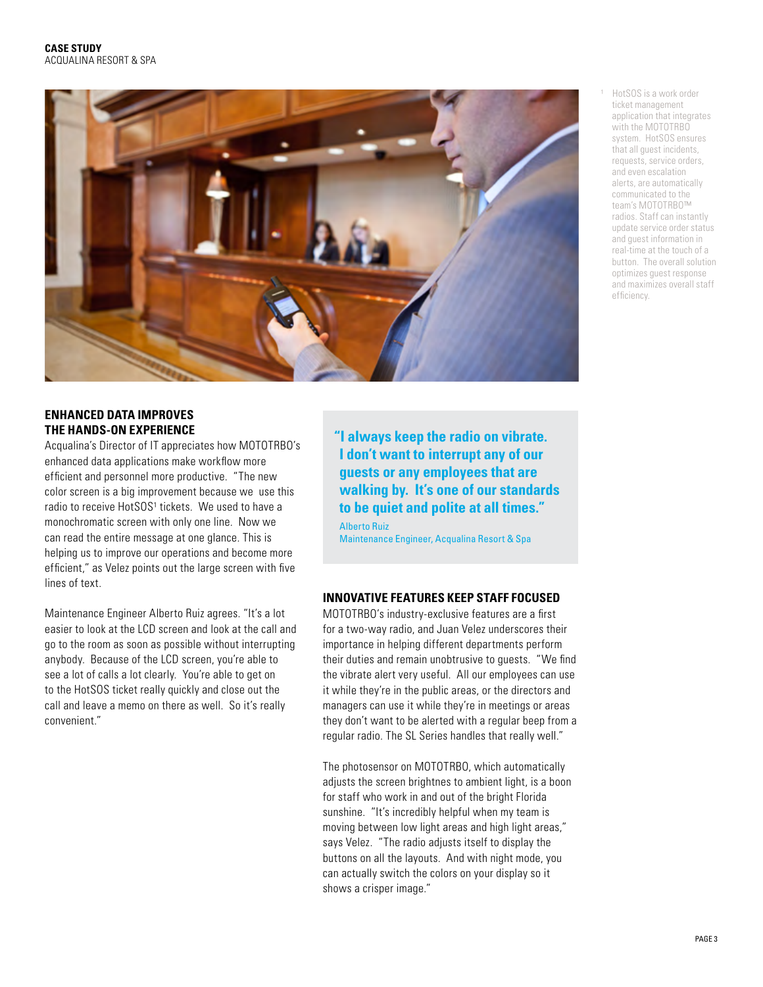

## **ENHANCED DATA IMPROVES THE HANDS-ON EXPERIENCE**

Acqualina's Director of IT appreciates how MOTOTRBO's enhanced data applications make workflow more efficient and personnel more productive. "The new color screen is a big improvement because we use this radio to receive HotSOS<sup>1</sup> tickets. We used to have a monochromatic screen with only one line. Now we can read the entire message at one glance. This is helping us to improve our operations and become more efficient," as Velez points out the large screen with five lines of text.

Maintenance Engineer Alberto Ruiz agrees. "It's a lot easier to look at the LCD screen and look at the call and go to the room as soon as possible without interrupting anybody. Because of the LCD screen, you're able to see a lot of calls a lot clearly. You're able to get on to the HotSOS ticket really quickly and close out the call and leave a memo on there as well. So it's really convenient."

**"I always keep the radio on vibrate. I don't want to interrupt any of our guests or any employees that are walking by. It's one of our standards to be quiet and polite at all times."** 

Alberto Ruiz Maintenance Engineer, Acqualina Resort & Spa

## **INNOVATIVE FEATURES KEEP STAFF FOCUSED**

MOTOTRBO's industry-exclusive features are a first for a two-way radio, and Juan Velez underscores their importance in helping different departments perform their duties and remain unobtrusive to guests. "We find the vibrate alert very useful. All our employees can use it while they're in the public areas, or the directors and managers can use it while they're in meetings or areas they don't want to be alerted with a regular beep from a regular radio. The SL Series handles that really well."

The photosensor on MOTOTRBO, which automatically adjusts the screen brightnes to ambient light, is a boon for staff who work in and out of the bright Florida sunshine. "It's incredibly helpful when my team is moving between low light areas and high light areas," says Velez. "The radio adjusts itself to display the buttons on all the layouts. And with night mode, you can actually switch the colors on your display so it shows a crisper image."

HotSOS is a work order ticket management application that integrates with the MOTOTRBO system. HotSOS ensures that all guest incidents, requests, service orders, and even escalation alerts, are automatically communicated to the team's MOTOTRBO™ radios. Staff can instantly update service order status and guest information in real-time at the touch of a button. The overall solution optimizes guest response and maximizes overall staff efficiency.